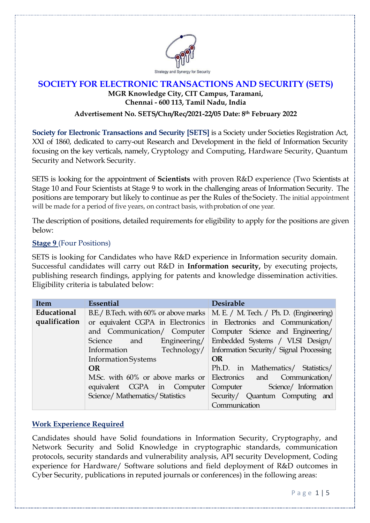

## **SOCIETY FOR ELECTRONIC TRANSACTIONS AND SECURITY (SETS) MGR Knowledge City, CIT Campus, Taramani, Chennai - 600 113, Tamil Nadu, India**

### **Advertisement No. SETS/Chn/Rec/2021-22/05 Date: 8 th February 2022**

**Society for Electronic Transactions and Security [SETS]** is a Society under Societies Registration Act, XXI of 1860, dedicated to carry-out Research and Development in the field of Information Security focusing on the key verticals, namely, Cryptology and Computing, Hardware Security, Quantum Security and Network Security.

SETS is looking for the appointment of **Scientists** with proven R&D experience (Two Scientists at Stage 10 and Four Scientists at Stage 9 to work in the challenging areas of Information Security. The positions are temporary but likely to continue as per the Rules of the Society. The initial appointment will be made for a period of five years, on contract basis, with probation of one year.

The description of positions, detailed requirements for eligibility to apply for the positions are given below:

#### **Stage 9** (Four Positions)

SETS is looking for Candidates who have R&D experience in Information security domain. Successful candidates will carry out R&D in **Information security,** by executing projects, publishing research findings, applying for patents and knowledge dissemination activities. Eligibility criteria is tabulated below:

| <b>Item</b>   | Essential                      | <b>Desirable</b>                                                                |
|---------------|--------------------------------|---------------------------------------------------------------------------------|
| Educational   |                                | B.E./ B.Tech. with 60% or above marks   M. E. / M. Tech. / Ph. D. (Engineering) |
| qualification |                                | or equivalent CGPA in Electronics in Electronics and Communication/             |
|               |                                | and Communication/ Computer Computer Science and Engineering/                   |
|               | Science<br>and                 | Engineering/ Embedded Systems / VLSI Design/                                    |
|               | Technology/<br>Information     | Information Security/ Signal Processing                                         |
|               | <b>Information Systems</b>     | <b>OR</b>                                                                       |
|               | <b>OR</b>                      | Ph.D. in Mathematics/ Statistics/                                               |
|               |                                | M.Sc. with 60% or above marks or Electronics and Communication                  |
|               | equivalent CGPA in Computer    | Science/Information<br>Computer                                                 |
|               | Science/Mathematics/Statistics | Security/ Quantum Computing and                                                 |
|               |                                | Communication                                                                   |

## **Work Experience Required**

Candidates should have Solid foundations in Information Security, Cryptography, and Network Security and Solid Knowledge in cryptographic standards, communication protocols, security standards and vulnerability analysis, API security Development, Coding experience for Hardware/ Software solutions and field deployment of R&D outcomes in Cyber Security, publications in reputed journals or conferences) in the following areas: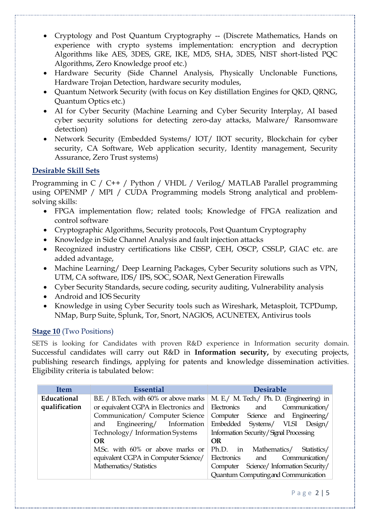- Cryptology and Post Quantum Cryptography -- (Discrete Mathematics, Hands on experience with crypto systems implementation: encryption and decryption Algorithms like AES, 3DES, GRE, IKE, MD5, SHA, 3DES, NIST short-listed PQC Algorithms, Zero Knowledge proof etc.)
- Hardware Security (Side Channel Analysis, Physically Unclonable Functions, Hardware Trojan Detection, hardware security modules,
- Quantum Network Security (with focus on Key distillation Engines for QKD, QRNG, Quantum Optics etc.)
- AI for Cyber Security (Machine Learning and Cyber Security Interplay, AI based cyber security solutions for detecting zero-day attacks, Malware/ Ransomware detection)
- Network Security (Embedded Systems/ IOT/ IIOT security, Blockchain for cyber security, CA Software, Web application security, Identity management, Security Assurance, Zero Trust systems)

## **Desirable Skill Sets**

Programming in C / C++ / Python / VHDL / Verilog/ MATLAB Parallel programming using OPENMP / MPI / CUDA Programming models Strong analytical and problemsolving skills:

- FPGA implementation flow; related tools; Knowledge of FPGA realization and control software
- Cryptographic Algorithms, Security protocols, Post Quantum Cryptography
- Knowledge in Side Channel Analysis and fault injection attacks
- Recognized industry certifications like CISSP, CEH, OSCP, CSSLP, GIAC etc. are added advantage,
- Machine Learning/ Deep Learning Packages, Cyber Security solutions such as VPN, UTM, CA software, IDS/ IPS, SOC, SOAR, Next Generation Firewalls
- Cyber Security Standards, secure coding, security auditing, Vulnerability analysis
- Android and IOS Security
- Knowledge in using Cyber Security tools such as Wireshark, Metasploit, TCPDump, NMap, Burp Suite, Splunk, Tor, Snort, NAGIOS, ACUNETEX, Antivirus tools

# **Stage 10** (Two Positions)

SETS is looking for Candidates with proven R&D experience in Information security domain. Successful candidates will carry out R&D in **Information security,** by executing projects, publishing research findings, applying for patents and knowledge dissemination activities. Eligibility criteria is tabulated below:

| <b>Item</b>   | <b>Essential</b>                                      | <b>Desirable</b>                                                                                                         |  |
|---------------|-------------------------------------------------------|--------------------------------------------------------------------------------------------------------------------------|--|
| Educational   |                                                       | B.E. / B.Tech. with 60% or above marks   M. E. / M. Tech. / Ph. D. (Engineering) in                                      |  |
| qualification | or equivalent CGPA in Electronics and Electronics and | Communication/                                                                                                           |  |
|               | Communication/ Computer Science                       | Computer Science and Engineering/                                                                                        |  |
|               | and                                                   | Engineering/ Information Embedded Systems/ VLSI Design/                                                                  |  |
|               | Technology/Information Systems                        | Information Security/Signal Processing                                                                                   |  |
|               | <b>OR</b>                                             | <b>OR</b>                                                                                                                |  |
|               | M.Sc. with 60% or above marks or                      | Ph.D. in<br>Mathematics/<br>Statistics/                                                                                  |  |
|               | equivalent CGPA in Computer Science/                  | Communication/<br>Electronics<br>and<br>Science/Information Security/<br>Computer<br>Quantum Computing and Communication |  |
|               | Mathematics/Statistics                                |                                                                                                                          |  |
|               |                                                       |                                                                                                                          |  |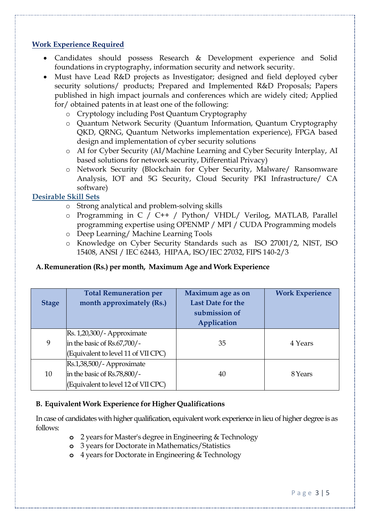## **Work Experience Required**

- Candidates should possess Research & Development experience and Solid foundations in cryptography, information security and network security.
- Must have Lead R&D projects as Investigator; designed and field deployed cyber security solutions/ products; Prepared and Implemented R&D Proposals; Papers published in high impact journals and conferences which are widely cited; Applied for/ obtained patents in at least one of the following:
	- o Cryptology including Post Quantum Cryptography
	- o Quantum Network Security (Quantum Information, Quantum Cryptography QKD, QRNG, Quantum Networks implementation experience), FPGA based design and implementation of cyber security solutions
	- o AI for Cyber Security (AI/Machine Learning and Cyber Security Interplay, AI based solutions for network security, Differential Privacy)
	- o Network Security (Blockchain for Cyber Security, Malware/ Ransomware Analysis, IOT and 5G Security, Cloud Security PKI Infrastructure/ CA software)

#### **Desirable Skill Sets**

- o Strong analytical and problem-solving skills
- o Programming in C / C++ / Python/ VHDL/ Verilog, MATLAB, Parallel programming expertise using OPENMP / MPI / CUDA Programming models
- o Deep Learning/ Machine Learning Tools
- o Knowledge on Cyber Security Standards such as ISO 27001/2, NIST, ISO 15408, ANSI / IEC 62443, HIPAA, ISO/IEC 27032, FIPS 140-2/3

## **A.Remuneration (Rs.) per month, Maximum Age and Work Experience**

| <b>Stage</b> | <b>Total Remuneration per</b><br>month approximately (Rs.)                                                                      | Maximum age as on<br><b>Last Date for the</b><br>submission of<br>Application | <b>Work Experience</b> |
|--------------|---------------------------------------------------------------------------------------------------------------------------------|-------------------------------------------------------------------------------|------------------------|
| 9            | $\left  \text{Rs. } 1,20,300 \right\rangle$ - Approximate<br>in the basic of Rs.67,700/-<br>(Equivalent to level 11 of VII CPC) | 35                                                                            | 4 Years                |
| 10           | Rs.1,38,500/- Approximate<br>in the basic of Rs.78,800/-<br>(Equivalent to level 12 of VII CPC)                                 | 40                                                                            | 8 Years                |

#### **B. Equivalent Work Experience for Higher Qualifications**

In case of candidates with higher qualification, equivalent work experience in lieu of higher degree is as follows:

- **o** 2 years for Master's degree in Engineering & Technology
- **o** 3 years for Doctorate in Mathematics/Statistics
- **o** 4 years for Doctorate in Engineering & Technology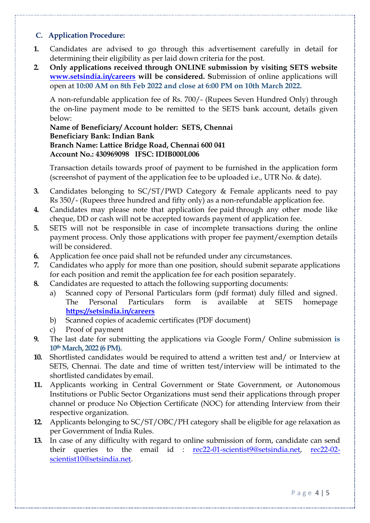#### **C. Application Procedure:**

- **1.** Candidates are advised to go through this advertisement carefully in detail for determining their eligibility as per laid down criteria for the post.
- **2. Only applications received through ONLINE submission by visiting SETS website [www.setsindia.in/careers](http://www.setsindia.in/careers) will be considered. S**ubmission of online applications will open at **10:00 AM on 8th Feb 2022 and close at 6:00 PM on 10th March 2022.**

A non-refundable application fee of Rs. 700/- (Rupees Seven Hundred Only) through the on-line payment mode to be remitted to the SETS bank account, details given below:

#### **Name of Beneficiary/ Account holder: SETS, Chennai Beneficiary Bank: Indian Bank Branch Name: Lattice Bridge Road, Chennai 600 041 Account No.: 430969098 IFSC: IDIB000L006**

Transaction details towards proof of payment to be furnished in the application form (screenshot of payment of the application fee to be uploaded i.e., UTR No. & date).

- **3.** Candidates belonging to SC/ST/PWD Category & Female applicants need to pay Rs 350/- (Rupees three hundred and fifty only) as a non-refundable application fee.
- **4.** Candidates may please note that application fee paid through any other mode like cheque, DD or cash will not be accepted towards payment of application fee.
- **5.** SETS will not be responsible in case of incomplete transactions during the online payment process. Only those applications with proper fee payment/exemption details will be considered.
- **6.** Application fee once paid shall not be refunded under any circumstances.
- **7.** Candidates who apply for more than one position, should submit separate applications for each position and remit the application fee for each position separately.
- **8.** Candidates are requested to attach the following supporting documents:
	- a) Scanned copy of Personal Particulars form (pdf format) duly filled and signed. The Personal Particulars form is available at SETS homepage **[https://setsindia.in/careers](https://setsindia.in/)**
	- b) Scanned copies of academic certificates (PDF document)
	- c) Proof of payment
- **9.** The last date for submitting the applications via Google Form/ Online submission **is 10thMarch, 2022 (6PM).**
- **10.** Shortlisted candidates would be required to attend a written test and/ or Interview at SETS, Chennai. The date and time of written test/interview will be intimated to the shortlisted candidates by email.
- **11.** Applicants working in Central Government or State Government, or Autonomous Institutions or Public Sector Organizations must send their applications through proper channel or produce No Objection Certificate (NOC) for attending Interview from their respective organization.
- **12.** Applicants belonging to SC/ST/OBC/PH category shall be eligible for age relaxation as per Government of India Rules.
- **13.** In case of any difficulty with regard to online submission of form, candidate can send their queries to the email id : [rec22-01-scientist9@setsindia.net,](mailto:rec22-01-scientist9@setsindia.net) [rec22-02](mailto:rec22-02-scientist10@setsindia.net) [scientist10@setsindia.net.](mailto:rec22-02-scientist10@setsindia.net)